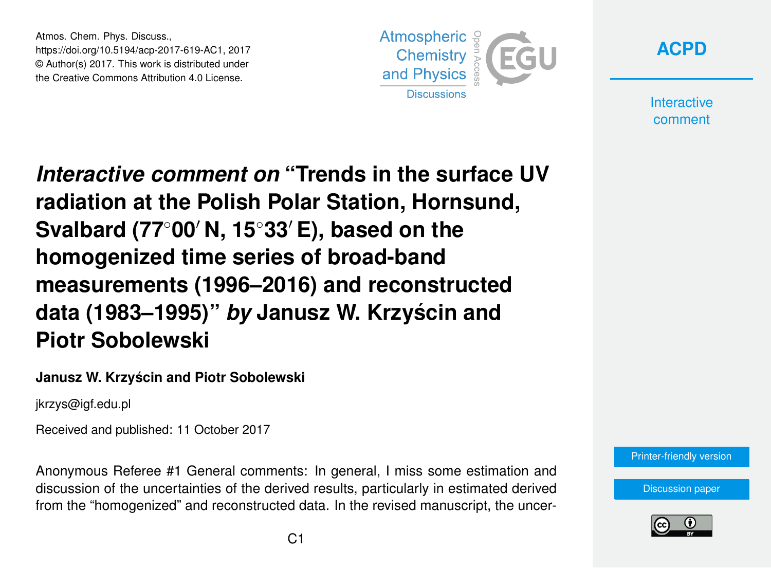Atmos. Chem. Phys. Discuss., https://doi.org/10.5194/acp-2017-619-AC1, 2017 © Author(s) 2017. This work is distributed under the Creative Commons Attribution 4.0 License.



**[ACPD](https://www.atmos-chem-phys-discuss.net/)**

**Interactive** comment

*Interactive comment on* **"Trends in the surface UV radiation at the Polish Polar Station, Hornsund, Svalbard (77<sup>◦</sup>00′ N, 15<sup>◦</sup>33′ E), based on the homogenized time series of broad-band measurements (1996–2016) and reconstructed data (1983–1995)"** *by* **Janusz W. Krzyscin and ´ Piotr Sobolewski**

#### **Janusz W. Krzyscin and Piotr Sobolewski ´**

jkrzys@igf.edu.pl

Received and published: 11 October 2017

Anonymous Referee #1 General comments: In general, I miss some estimation and discussion of the uncertainties of the derived results, particularly in estimated derived from the "homogenized" and reconstructed data. In the revised manuscript, the uncer-



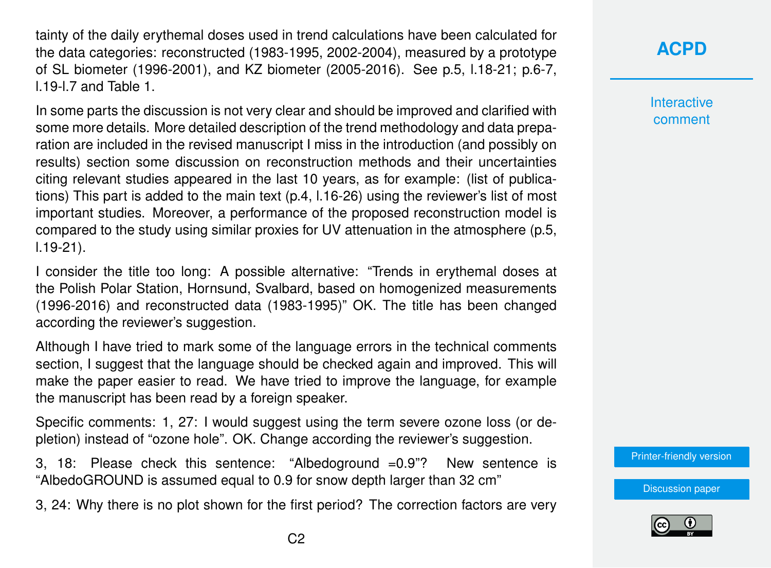tainty of the daily erythemal doses used in trend calculations have been calculated for the data categories: reconstructed (1983-1995, 2002-2004), measured by a prototype of SL biometer (1996-2001), and KZ biometer (2005-2016). See p.5, l.18-21; p.6-7, l.19-l.7 and Table 1.

In some parts the discussion is not very clear and should be improved and clarified with some more details. More detailed description of the trend methodology and data preparation are included in the revised manuscript I miss in the introduction (and possibly on results) section some discussion on reconstruction methods and their uncertainties citing relevant studies appeared in the last 10 years, as for example: (list of publications) This part is added to the main text (p.4, l.16-26) using the reviewer's list of most important studies. Moreover, a performance of the proposed reconstruction model is compared to the study using similar proxies for UV attenuation in the atmosphere (p.5, l.19-21).

I consider the title too long: A possible alternative: "Trends in erythemal doses at the Polish Polar Station, Hornsund, Svalbard, based on homogenized measurements (1996-2016) and reconstructed data (1983-1995)" OK. The title has been changed according the reviewer's suggestion.

Although I have tried to mark some of the language errors in the technical comments section, I suggest that the language should be checked again and improved. This will make the paper easier to read. We have tried to improve the language, for example the manuscript has been read by a foreign speaker.

Specific comments: 1, 27: I would suggest using the term severe ozone loss (or depletion) instead of "ozone hole". OK. Change according the reviewer's suggestion.

3, 18: Please check this sentence: "Albedoground =0.9"? New sentence is "AlbedoGROUND is assumed equal to 0.9 for snow depth larger than 32 cm"

3, 24: Why there is no plot shown for the first period? The correction factors are very

## **[ACPD](https://www.atmos-chem-phys-discuss.net/)**

**Interactive** comment

[Printer-friendly version](https://www.atmos-chem-phys-discuss.net/acp-2017-619/acp-2017-619-AC1-print.pdf)

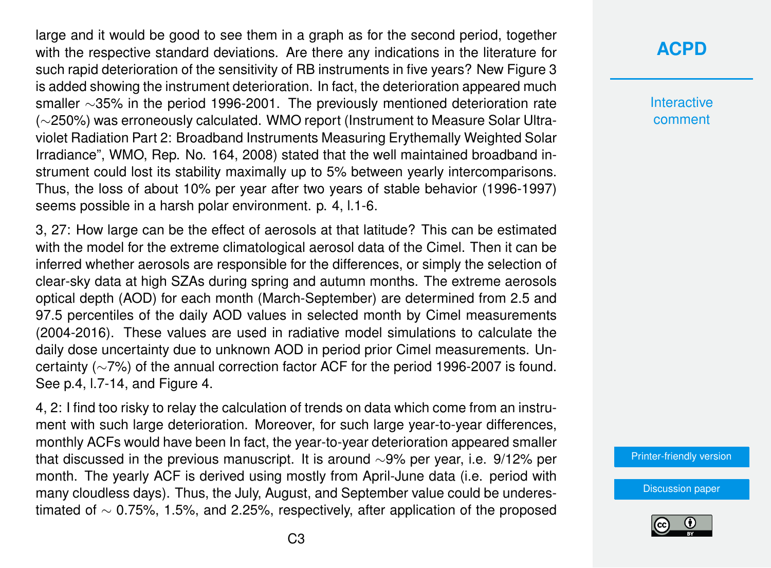large and it would be good to see them in a graph as for the second period, together with the respective standard deviations. Are there any indications in the literature for such rapid deterioration of the sensitivity of RB instruments in five years? New Figure 3 is added showing the instrument deterioration. In fact, the deterioration appeared much smaller ∼35% in the period 1996-2001. The previously mentioned deterioration rate (∼250%) was erroneously calculated. WMO report (Instrument to Measure Solar Ultraviolet Radiation Part 2: Broadband Instruments Measuring Erythemally Weighted Solar Irradiance", WMO, Rep. No. 164, 2008) stated that the well maintained broadband instrument could lost its stability maximally up to 5% between yearly intercomparisons. Thus, the loss of about 10% per year after two years of stable behavior (1996-1997) seems possible in a harsh polar environment. p. 4, l.1-6.

3, 27: How large can be the effect of aerosols at that latitude? This can be estimated with the model for the extreme climatological aerosol data of the Cimel. Then it can be inferred whether aerosols are responsible for the differences, or simply the selection of clear-sky data at high SZAs during spring and autumn months. The extreme aerosols optical depth (AOD) for each month (March-September) are determined from 2.5 and 97.5 percentiles of the daily AOD values in selected month by Cimel measurements (2004-2016). These values are used in radiative model simulations to calculate the daily dose uncertainty due to unknown AOD in period prior Cimel measurements. Uncertainty (∼7%) of the annual correction factor ACF for the period 1996-2007 is found. See p.4, l.7-14, and Figure 4.

4, 2: I find too risky to relay the calculation of trends on data which come from an instrument with such large deterioration. Moreover, for such large year-to-year differences, monthly ACFs would have been In fact, the year-to-year deterioration appeared smaller that discussed in the previous manuscript. It is around ∼9% per year, i.e. 9/12% per month. The yearly ACF is derived using mostly from April-June data (i.e. period with many cloudless days). Thus, the July, August, and September value could be underestimated of ∼ 0.75%, 1.5%, and 2.25%, respectively, after application of the proposed

## **[ACPD](https://www.atmos-chem-phys-discuss.net/)**

**Interactive** comment

[Printer-friendly version](https://www.atmos-chem-phys-discuss.net/acp-2017-619/acp-2017-619-AC1-print.pdf)

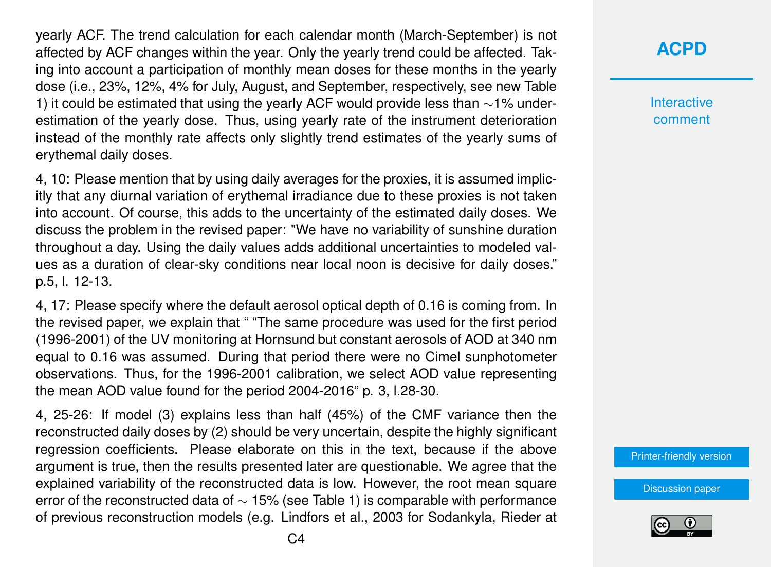yearly ACF. The trend calculation for each calendar month (March-September) is not affected by ACF changes within the year. Only the yearly trend could be affected. Taking into account a participation of monthly mean doses for these months in the yearly dose (i.e., 23%, 12%, 4% for July, August, and September, respectively, see new Table 1) it could be estimated that using the yearly ACF would provide less than ∼1% underestimation of the yearly dose. Thus, using yearly rate of the instrument deterioration instead of the monthly rate affects only slightly trend estimates of the yearly sums of erythemal daily doses.

4, 10: Please mention that by using daily averages for the proxies, it is assumed implicitly that any diurnal variation of erythemal irradiance due to these proxies is not taken into account. Of course, this adds to the uncertainty of the estimated daily doses. We discuss the problem in the revised paper: "We have no variability of sunshine duration throughout a day. Using the daily values adds additional uncertainties to modeled values as a duration of clear-sky conditions near local noon is decisive for daily doses." p.5, l. 12-13.

4, 17: Please specify where the default aerosol optical depth of 0.16 is coming from. In the revised paper, we explain that " "The same procedure was used for the first period (1996-2001) of the UV monitoring at Hornsund but constant aerosols of AOD at 340 nm equal to 0.16 was assumed. During that period there were no Cimel sunphotometer observations. Thus, for the 1996-2001 calibration, we select AOD value representing the mean AOD value found for the period 2004-2016" p. 3, l.28-30.

4, 25-26: If model (3) explains less than half (45%) of the CMF variance then the reconstructed daily doses by (2) should be very uncertain, despite the highly significant regression coefficients. Please elaborate on this in the text, because if the above argument is true, then the results presented later are questionable. We agree that the explained variability of the reconstructed data is low. However, the root mean square error of the reconstructed data of ∼ 15% (see Table 1) is comparable with performance of previous reconstruction models (e.g. Lindfors et al., 2003 for Sodankyla, Rieder at

## **[ACPD](https://www.atmos-chem-phys-discuss.net/)**

**Interactive** comment

[Printer-friendly version](https://www.atmos-chem-phys-discuss.net/acp-2017-619/acp-2017-619-AC1-print.pdf)

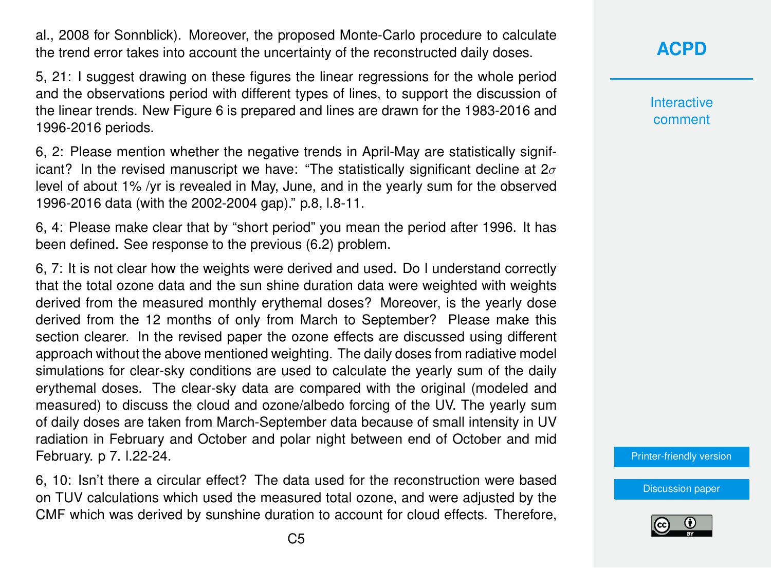al., 2008 for Sonnblick). Moreover, the proposed Monte-Carlo procedure to calculate the trend error takes into account the uncertainty of the reconstructed daily doses.

5, 21: I suggest drawing on these figures the linear regressions for the whole period and the observations period with different types of lines, to support the discussion of the linear trends. New Figure 6 is prepared and lines are drawn for the 1983-2016 and 1996-2016 periods.

6, 2: Please mention whether the negative trends in April-May are statistically significant? In the revised manuscript we have: "The statistically significant decline at  $2\sigma$ level of about 1% /yr is revealed in May, June, and in the yearly sum for the observed 1996-2016 data (with the 2002-2004 gap)." p.8, l.8-11.

6, 4: Please make clear that by "short period" you mean the period after 1996. It has been defined. See response to the previous (6.2) problem.

6, 7: It is not clear how the weights were derived and used. Do I understand correctly that the total ozone data and the sun shine duration data were weighted with weights derived from the measured monthly erythemal doses? Moreover, is the yearly dose derived from the 12 months of only from March to September? Please make this section clearer. In the revised paper the ozone effects are discussed using different approach without the above mentioned weighting. The daily doses from radiative model simulations for clear-sky conditions are used to calculate the yearly sum of the daily erythemal doses. The clear-sky data are compared with the original (modeled and measured) to discuss the cloud and ozone/albedo forcing of the UV. The yearly sum of daily doses are taken from March-September data because of small intensity in UV radiation in February and October and polar night between end of October and mid February. p 7. l.22-24.

6, 10: Isn't there a circular effect? The data used for the reconstruction were based on TUV calculations which used the measured total ozone, and were adjusted by the CMF which was derived by sunshine duration to account for cloud effects. Therefore, **Interactive** comment

[Printer-friendly version](https://www.atmos-chem-phys-discuss.net/acp-2017-619/acp-2017-619-AC1-print.pdf)

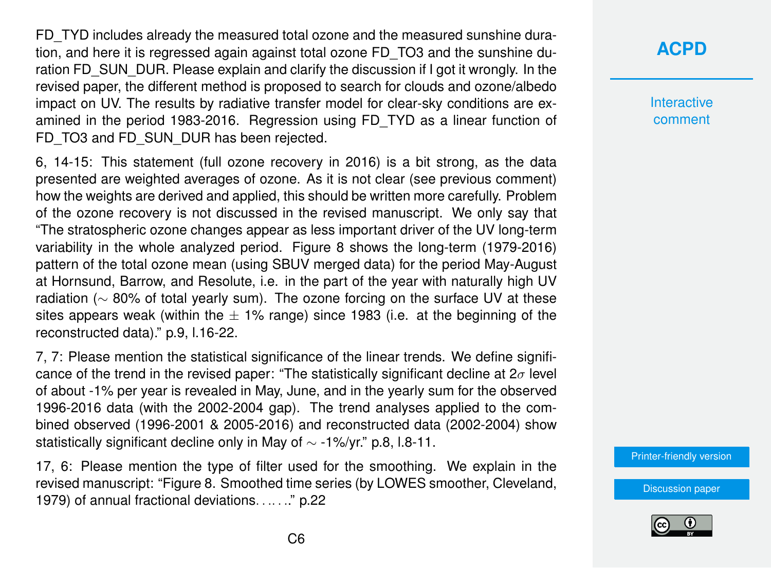FD\_TYD includes already the measured total ozone and the measured sunshine duration, and here it is regressed again against total ozone FD\_TO3 and the sunshine duration FD\_SUN\_DUR. Please explain and clarify the discussion if I got it wrongly. In the revised paper, the different method is proposed to search for clouds and ozone/albedo impact on UV. The results by radiative transfer model for clear-sky conditions are examined in the period 1983-2016. Regression using FD\_TYD as a linear function of FD\_TO3 and FD\_SUN\_DUR has been rejected.

6, 14-15: This statement (full ozone recovery in 2016) is a bit strong, as the data presented are weighted averages of ozone. As it is not clear (see previous comment) how the weights are derived and applied, this should be written more carefully. Problem of the ozone recovery is not discussed in the revised manuscript. We only say that "The stratospheric ozone changes appear as less important driver of the UV long-term variability in the whole analyzed period. Figure 8 shows the long-term (1979-2016) pattern of the total ozone mean (using SBUV merged data) for the period May-August at Hornsund, Barrow, and Resolute, i.e. in the part of the year with naturally high UV radiation (∼ 80% of total yearly sum). The ozone forcing on the surface UV at these sites appears weak (within the  $\pm$  1% range) since 1983 (i.e. at the beginning of the reconstructed data)." p.9, l.16-22.

7, 7: Please mention the statistical significance of the linear trends. We define significance of the trend in the revised paper: "The statistically significant decline at  $2\sigma$  level of about -1% per year is revealed in May, June, and in the yearly sum for the observed 1996-2016 data (with the 2002-2004 gap). The trend analyses applied to the combined observed (1996-2001 & 2005-2016) and reconstructed data (2002-2004) show statistically significant decline only in May of  $\sim$  -1%/yr." p.8, l.8-11.

17, 6: Please mention the type of filter used for the smoothing. We explain in the revised manuscript: "Figure 8. Smoothed time series (by LOWES smoother, Cleveland, 1979) of annual fractional deviations. . .. . .." p.22

# **[ACPD](https://www.atmos-chem-phys-discuss.net/)**

Interactive comment

[Printer-friendly version](https://www.atmos-chem-phys-discuss.net/acp-2017-619/acp-2017-619-AC1-print.pdf)